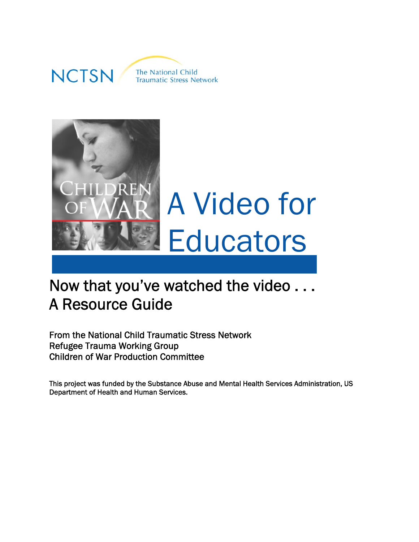



# Now that you've watched the video . . . A Resource Guide

From the National Child Traumatic Stress Network Refugee Trauma Working Group Children of War Production Committee

This project was funded by the Substance Abuse and Mental Health Services Administration, US Department of Health and Human Services.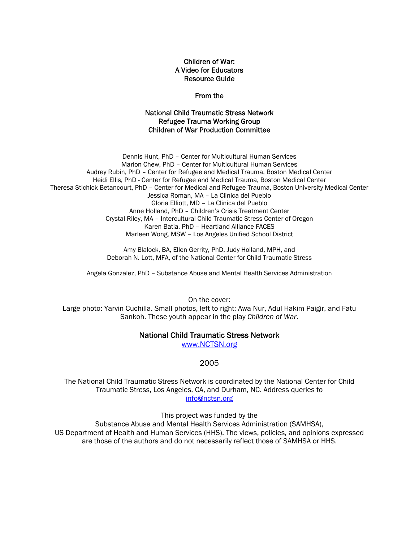Children of War: A Video for Educators Resource Guide

From the

#### National Child Traumatic Stress Network Refugee Trauma Working Group Children of War Production Committee

Dennis Hunt, PhD – Center for Multicultural Human Services Marion Chew, PhD – Center for Multicultural Human Services Audrey Rubin, PhD – Center for Refugee and Medical Trauma, Boston Medical Center Heidi Ellis, PhD - Center for Refugee and Medical Trauma, Boston Medical Center Theresa Stichick Betancourt, PhD – Center for Medical and Refugee Trauma, Boston University Medical Center Jessica Roman, MA – La Clinica del Pueblo Gloria Elliott, MD – La Clinica del Pueblo Anne Holland, PhD – Children's Crisis Treatment Center Crystal Riley, MA – Intercultural Child Traumatic Stress Center of Oregon Karen Batia, PhD – Heartland Alliance FACES Marleen Wong, MSW – Los Angeles Unified School District

> Amy Blalock, BA, Ellen Gerrity, PhD, Judy Holland, MPH, and Deborah N. Lott, MFA, of the National Center for Child Traumatic Stress

Angela Gonzalez, PhD – Substance Abuse and Mental Health Services Administration

On the cover:

Large photo: Yarvin Cuchilla. Small photos, left to right: Awa Nur, Adul Hakim Paigir, and Fatu Sankoh. These youth appear in the play *Children of War*.

#### National Child Traumatic Stress Network

[www.NCTSN.org](http://www.nctsn.org/)

#### 2005

The National Child Traumatic Stress Network is coordinated by the National Center for Child Traumatic Stress, Los Angeles, CA, and Durham, NC. Address queries to [info@nctsn.org](mailto:info@nctsn.org)

This project was funded by the

Substance Abuse and Mental Health Services Administration (SAMHSA), US Department of Health and Human Services (HHS). The views, policies, and opinions expressed are those of the authors and do not necessarily reflect those of SAMHSA or HHS.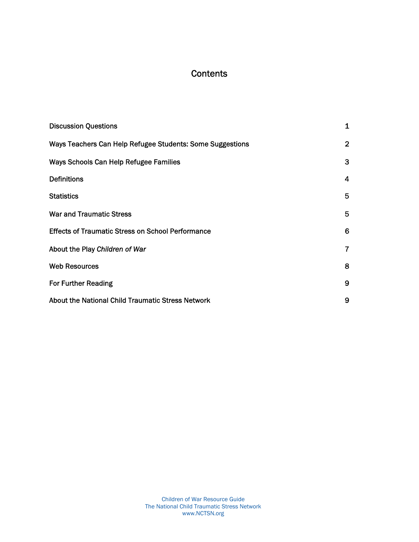### **Contents**

| <b>Discussion Questions</b>                               | 1              |
|-----------------------------------------------------------|----------------|
| Ways Teachers Can Help Refugee Students: Some Suggestions | $\overline{2}$ |
| Ways Schools Can Help Refugee Families                    | 3              |
| <b>Definitions</b>                                        | 4              |
| <b>Statistics</b>                                         | 5              |
| <b>War and Traumatic Stress</b>                           | 5              |
| <b>Effects of Traumatic Stress on School Performance</b>  | 6              |
| About the Play Children of War                            | 7              |
| <b>Web Resources</b>                                      | 8              |
| <b>For Further Reading</b>                                | 9              |
| About the National Child Traumatic Stress Network         | 9              |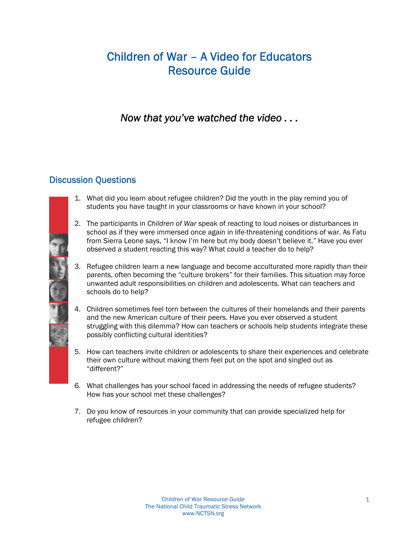## Children of War – A Video for Educators Resource Guide

*Now that you've watched the video . . .* 

### Discussion Questions

- 1. What did you learn about refugee children? Did the youth in the play remind you of students you have taught in your classrooms or have known in your school?
- 2. The participants in *Children of War* speak of reacting to loud noises or disturbances in school as if they were immersed once again in life-threatening conditions of war. As Fatu from Sierra Leone says, "I know I'm here but my body doesn't believe it." Have you ever observed a student reacting this way? What could a teacher do to help?
- 3. Refugee children learn a new language and become acculturated more rapidly than their parents, often becoming the "culture brokers" for their families. This situation may force unwanted adult responsibilities on children and adolescents. What can teachers and schools do to help?
- 4. Children sometimes feel torn between the cultures of their homelands and their parents and the new American culture of their peers. Have you ever observed a student struggling with this dilemma? How can teachers or schools help students integrate these possibly conflicting cultural identities?
- 5. How can teachers invite children or adolescents to share their experiences and celebrate their own culture without making them feel put on the spot and singled out as "different?"
- 6. What challenges has your school faced in addressing the needs of refugee students? How has your school met these challenges?
- 7. Do you know of resources in your community that can provide specialized help for refugee children?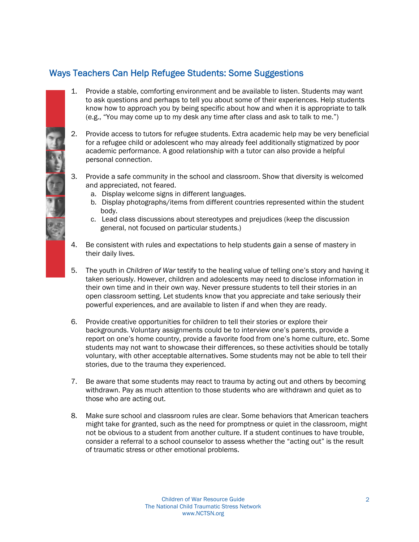### Ways Teachers Can Help Refugee Students: Some Suggestions

- 1. Provide a stable, comforting environment and be available to listen. Students may want to ask questions and perhaps to tell you about some of their experiences. Help students know how to approach you by being specific about how and when it is appropriate to talk (e.g., "You may come up to my desk any time after class and ask to talk to me.")
- 2. Provide access to tutors for refugee students. Extra academic help may be very beneficial for a refugee child or adolescent who may already feel additionally stigmatized by poor academic performance. A good relationship with a tutor can also provide a helpful personal connection.
- 3. Provide a safe community in the school and classroom. Show that diversity is welcomed and appreciated, not feared.
	- a. Display welcome signs in different languages.
	- b. Display photographs/items from different countries represented within the student body.
	- c. Lead class discussions about stereotypes and prejudices (keep the discussion general, not focused on particular students.)
- 4. Be consistent with rules and expectations to help students gain a sense of mastery in their daily lives.
- 5. The youth in *Children of War* testify to the healing value of telling one's story and having it taken seriously. However, children and adolescents may need to disclose information in their own time and in their own way. Never pressure students to tell their stories in an open classroom setting. Let students know that you appreciate and take seriously their powerful experiences, and are available to listen if and when they are ready.
- report on one's home country, provide a favorite food from one's home culture, etc. Some 6. Provide creative opportunities for children to tell their stories or explore their backgrounds. Voluntary assignments could be to interview one's parents, provide a students may not want to showcase their differences, so these activities should be totally voluntary, with other acceptable alternatives. Some students may not be able to tell their stories, due to the trauma they experienced.
- 7. Be aware that some students may react to trauma by acting out and others by becoming withdrawn. Pay as much attention to those students who are withdrawn and quiet as to those who are acting out.
- 8. Make sure school and classroom rules are clear. Some behaviors that American teachers might take for granted, such as the need for promptness or quiet in the classroom, might not be obvious to a student from another culture. If a student continues to have trouble, consider a referral to a school counselor to assess whether the "acting out" is the result of traumatic stress or other emotional problems.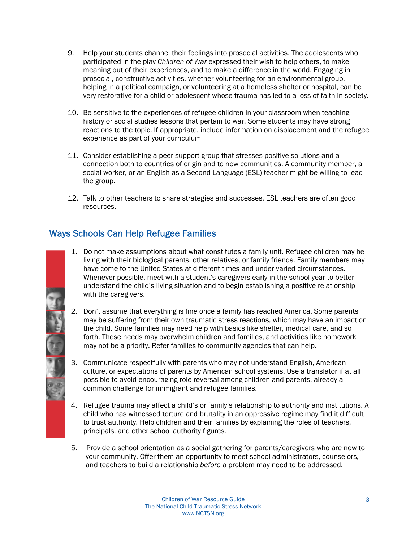- 9. Help your students channel their feelings into prosocial activities. The adolescents who participated in the play *Children of War* expressed their wish to help others, to make meaning out of their experiences, and to make a difference in the world. Engaging in prosocial, constructive activities, whether volunteering for an environmental group, helping in a political campaign, or volunteering at a homeless shelter or hospital, can be very restorative for a child or adolescent whose trauma has led to a loss of faith in society.
- 10. Be sensitive to the experiences of refugee children in your classroom when teaching history or social studies lessons that pertain to war. Some students may have strong reactions to the topic. If appropriate, include information on displacement and the refugee experience as part of your curriculum
- 11. Consider establishing a peer support group that stresses positive solutions and a connection both to countries of origin and to new communities. A community member, a social worker, or an English as a Second Language (ESL) teacher might be willing to lead the group.
- 12. Talk to other teachers to share strategies and successes. ESL teachers are often good resources.

### Ways Schools Can Help Refugee Families

- 1. Do not make assumptions about what constitutes a family unit. Refugee children may be living with their biological parents, other relatives, or family friends. Family members may have come to the United States at different times and under varied circumstances. Whenever possible, meet with a student's caregivers early in the school year to better understand the child's living situation and to begin establishing a positive relationship with the caregivers.
- may not be a priority. Refer families to community agencies that can help. 2. Don't assume that everything is fine once a family has reached America. Some parents may be suffering from their own traumatic stress reactions, which may have an impact on the child. Some families may need help with basics like shelter, medical care, and so forth. These needs may overwhelm children and families, and activities like homework
- 3. Communicate respectfully with parents who may not understand English, American culture, or expectations of parents by American school systems. Use a translator if at all possible to avoid encouraging role reversal among children and parents, already a common challenge for immigrant and refugee families.
- 4. Refugee trauma may affect a child's or family's relationship to authority and institutions. A child who has witnessed torture and brutality in an oppressive regime may find it difficult to trust authority. Help children and their families by explaining the roles of teachers, principals, and other school authority figures.
- 5. Provide a school orientation as a social gathering for parents/caregivers who are new to your community. Offer them an opportunity to meet school administrators, counselors, and teachers to build a relationship *before* a problem may need to be addressed.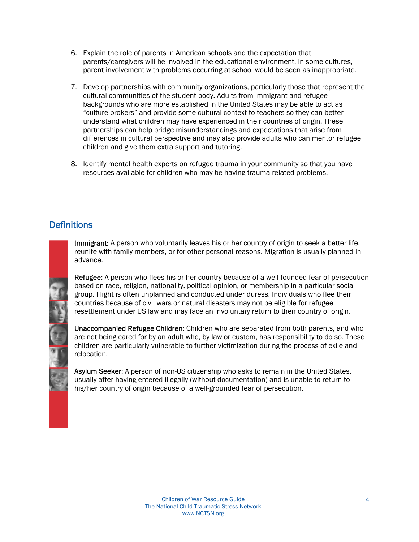- 6. Explain the role of parents in American schools and the expectation that parents/caregivers will be involved in the educational environment. In some cultures, parent involvement with problems occurring at school would be seen as inappropriate.
- 7. Develop partnerships with community organizations, particularly those that represent the cultural communities of the student body. Adults from immigrant and refugee backgrounds who are more established in the United States may be able to act as "culture brokers" and provide some cultural context to teachers so they can better understand what children may have experienced in their countries of origin. These partnerships can help bridge misunderstandings and expectations that arise from differences in cultural perspective and may also provide adults who can mentor refugee children and give them extra support and tutoring.
- 8. Identify mental health experts on refugee trauma in your community so that you have resources available for children who may be having trauma-related problems.

### **Definitions**

Immigrant: A person who voluntarily leaves his or her country of origin to seek a better life. reunite with family members, or for other personal reasons. Migration is usually planned in advance.

Refugee: A person who flees his or her country because of a well-founded fear of persecution based on race, religion, nationality, political opinion, or membership in a particular social group. Flight is often unplanned and conducted under duress. Individuals who flee their countries because of civil wars or natural disasters may not be eligible for refugee resettlement under US law and may face an involuntary return to their country of origin.

Unaccompanied Refugee Children: Children who are separated from both parents, and who are not being cared for by an adult who, by law or custom, has responsibility to do so. These children are particularly vulnerable to further victimization during the process of exile and relocation.

Asylum Seeker: A person of non-US citizenship who asks to remain in the United States, usually after having entered illegally (without documentation) and is unable to return to his/her country of origin because of a well-grounded fear of persecution.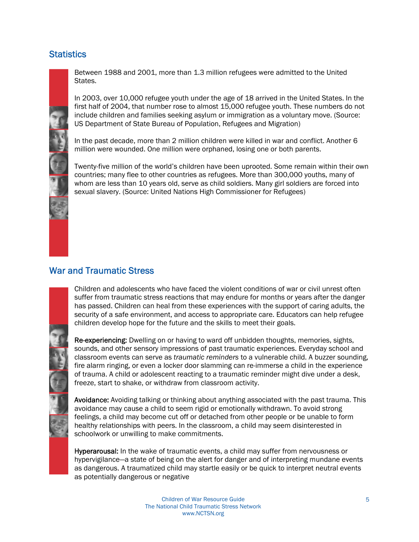### **Statistics**



Between 1988 and 2001, more than 1.3 million refugees were admitted to the United States.

In 2003, over 10,000 refugee youth under the age of 18 arrived in the United States. In the first half of 2004, that number rose to almost 15,000 refugee youth. These numbers do not include children and families seeking asylum or immigration as a voluntary move. (Source: US Department of State Bureau of Population, Refugees and Migration)

In the past decade, more than 2 million children were killed in war and conflict. Another 6 million were wounded. One million were orphaned, losing one or both parents.

Twenty-five million of the world's children have been uprooted. Some remain within their own countries; many flee to other countries as refugees. More than 300,000 youths, many of whom are less than 10 years old, serve as child soldiers. Many girl soldiers are forced into sexual slavery. (Source: United Nations High Commissioner for Refugees)

### War and Traumatic Stress

Children and adolescents who have faced the violent conditions of war or civil unrest often suffer from traumatic stress reactions that may endure for months or years after the danger has passed. Children can heal from these experiences with the support of caring adults, the security of a safe environment, and access to appropriate care. Educators can help refugee children develop hope for the future and the skills to meet their goals.

Re-experiencing: Dwelling on or having to ward off unbidden thoughts, memories, sights, sounds, and other sensory impressions of past traumatic experiences. Everyday school and classroom events can serve as *traumatic reminders* to a vulnerable child. A buzzer sounding, fire alarm ringing, or even a locker door slamming can re-immerse a child in the experience of trauma. A child or adolescent reacting to a traumatic reminder might dive under a desk, freeze, start to shake, or withdraw from classroom activity.

Avoidance: Avoiding talking or thinking about anything associated with the past trauma. This avoidance may cause a child to seem rigid or emotionally withdrawn. To avoid strong feelings, a child may become cut off or detached from other people or be unable to form healthy relationships with peers. In the classroom, a child may seem disinterested in schoolwork or unwilling to make commitments.

Hyperarousal: In the wake of traumatic events, a child may suffer from nervousness or hypervigilance—a state of being on the alert for danger and of interpreting mundane events as dangerous. A traumatized child may startle easily or be quick to interpret neutral events as potentially dangerous or negative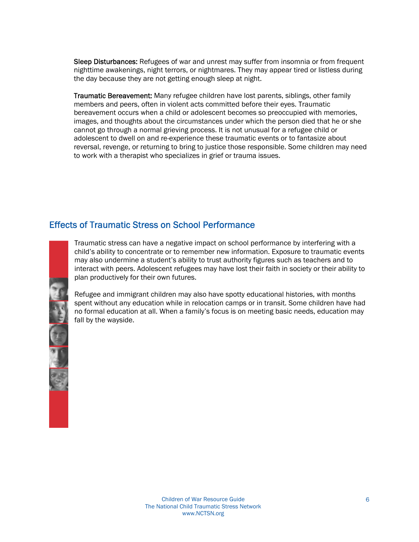Sleep Disturbances: Refugees of war and unrest may suffer from insomnia or from frequent nighttime awakenings, night terrors, or nightmares. They may appear tired or listless during the day because they are not getting enough sleep at night.

Traumatic Bereavement: Many refugee children have lost parents, siblings, other family members and peers, often in violent acts committed before their eyes. Traumatic bereavement occurs when a child or adolescent becomes so preoccupied with memories, images, and thoughts about the circumstances under which the person died that he or she cannot go through a normal grieving process. It is not unusual for a refugee child or adolescent to dwell on and re-experience these traumatic events or to fantasize about reversal, revenge, or returning to bring to justice those responsible. Some children may need to work with a therapist who specializes in grief or trauma issues.

### Effects of Traumatic Stress on School Performance

Traumatic stress can have a negative impact on school performance by interfering with a child's ability to concentrate or to remember new information. Exposure to traumatic events may also undermine a student's ability to trust authority figures such as teachers and to interact with peers. Adolescent refugees may have lost their faith in society or their ability to plan productively for their own futures.

Refugee and immigrant children may also have spotty educational histories, with months spent without any education while in relocation camps or in transit. Some children have had no formal education at all. When a family's focus is on meeting basic needs, education may fall by the wayside.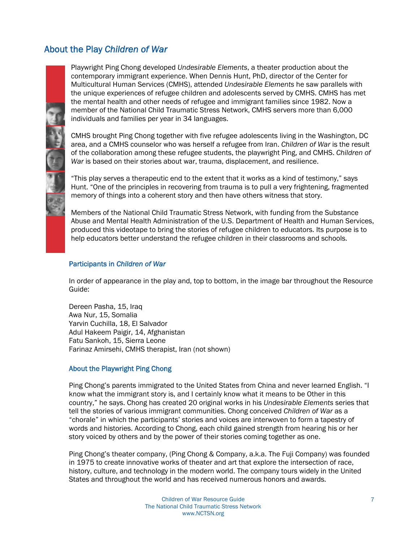### About the Play *Children of War*



Playwright Ping Chong developed *Undesirable Elements*, a theater production about the contemporary immigrant experience. When Dennis Hunt, PhD, director of the Center for Multicultural Human Services (CMHS), attended *Undesirable Elements* he saw parallels with the unique experiences of refugee children and adolescents served by CMHS. CMHS has met the mental health and other needs of refugee and immigrant families since 1982. Now a member of the National Child Traumatic Stress Network, CMHS servers more than 6,000 individuals and families per year in 34 languages.

CMHS brought Ping Chong together with five refugee adolescents living in the Washington, DC area, and a CMHS counselor who was herself a refugee from Iran. *Children of War* is the result of the collaboration among these refugee students, the playwright Ping, and CMHS. *Children of War* is based on their stories about war, trauma, displacement, and resilience.

"This play serves a therapeutic end to the extent that it works as a kind of testimony," says Hunt. "One of the principles in recovering from trauma is to pull a very frightening, fragmented memory of things into a coherent story and then have others witness that story.

Members of the National Child Traumatic Stress Network, with funding from the Substance Abuse and Mental Health Administration of the U.S. Department of Health and Human Services, produced this videotape to bring the stories of refugee children to educators. Its purpose is to help educators better understand the refugee children in their classrooms and schools.

#### Participants in *Children of War*

In order of appearance in the play and, top to bottom, in the image bar throughout the Resource Guide:

Dereen Pasha, 15, Iraq Awa Nur, 15, Somalia Yarvin Cuchilla, 18, El Salvador Adul Hakeem Paigir, 14, Afghanistan Fatu Sankoh, 15, Sierra Leone Farinaz Amirsehi, CMHS therapist, Iran (not shown)

#### About the Playwright Ping Chong

Ping Chong's parents immigrated to the United States from China and never learned English. "I know what the immigrant story is, and I certainly know what it means to be Other in this country," he says. Chong has created 20 original works in his *Undesirable Elements* series that tell the stories of various immigrant communities. Chong conceived *Children of War* as a "chorale" in which the participants' stories and voices are interwoven to form a tapestry of words and histories. According to Chong, each child gained strength from hearing his or her story voiced by others and by the power of their stories coming together as one.

Ping Chong's theater company, (Ping Chong & Company, a.k.a. The Fuji Company) was founded in 1975 to create innovative works of theater and art that explore the intersection of race, history, culture, and technology in the modern world. The company tours widely in the United States and throughout the world and has received numerous honors and awards.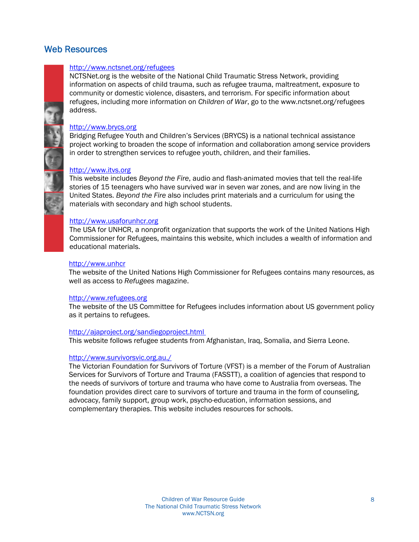### Web Resources

#### <http://www.nctsnet.org/refugees>

NCTSNet.org is the website of the National Child Traumatic Stress Network, providing information on aspects of child trauma, such as refugee trauma, maltreatment, exposure to community or domestic violence, disasters, and terrorism. For specific information about refugees, including more information on *Children of War*, go to the www.nctsnet.org/refugees address.

#### [http://www.brycs.org](http://www.brycs.org/)

Bridging Refugee Youth and Children's Services (BRYCS) is a national technical assistance project working to broaden the scope of information and collaboration among service providers in order to strengthen services to refugee youth, children, and their families.

#### [http://www.itvs.org](http://www.itvs.org/)

This website includes *Beyond the Fire*, audio and flash-animated movies that tell the real-life stories of 15 teenagers who have survived war in seven war zones, and are now living in the United States. *Beyond the Fire* also includes print materials and a curriculum for using the materials with secondary and high school students.

#### <http://www.usaforunhcr.org>

The USA for UNHCR, a nonprofit organization that supports the work of the United Nations High Commissioner for Refugees, maintains this website, which includes a wealth of information and educational materials.

#### <http://www.unhcr>

The website of the United Nations High Commissioner for Refugees contains many resources, as well as access to *Refugees* magazine.

#### <http://www.refugees.org>

The website of the US Committee for Refugees includes information about US government policy as it pertains to refugees.

#### <http://ajaproject.org/sandiegoproject.html>

This website follows refugee students from Afghanistan, Iraq, Somalia, and Sierra Leone.

#### <http://www.survivorsvic.org.au./>

The Victorian Foundation for Survivors of Torture (VFST) is a member of the Forum of Australian Services for Survivors of Torture and Trauma (FASSTT), a coalition of agencies that respond to the needs of survivors of torture and trauma who have come to Australia from overseas. The foundation provides direct care to survivors of torture and trauma in the form of counseling, advocacy, family support, group work, psycho-education, information sessions, and complementary therapies. This website includes resources for schools.